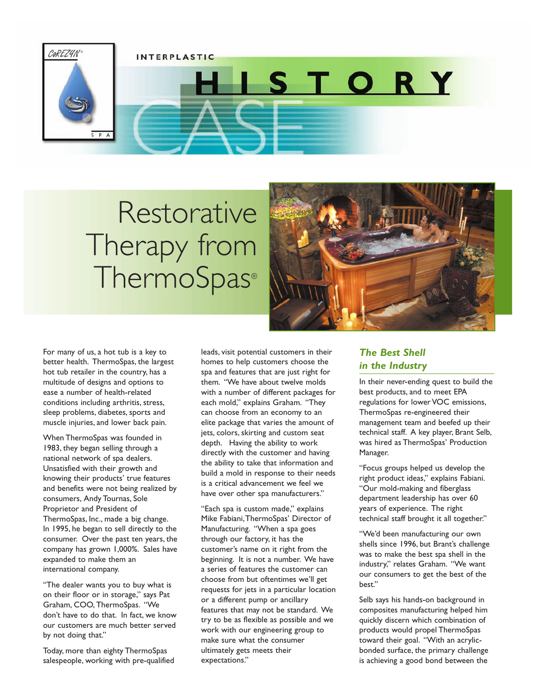

## Restorative Therapy from **ThermoSpas®**



For many of us, a hot tub is a key to better health. ThermoSpas, the largest hot tub retailer in the country, has a multitude of designs and options to ease a number of health-related conditions including arthritis, stress, sleep problems, diabetes, sports and muscle injuries, and lower back pain.

When ThermoSpas was founded in 1983, they began selling through a national network of spa dealers. Unsatisfied with their growth and knowing their products' true features and benefits were not being realized by consumers, Andy Tournas, Sole Proprietor and President of ThermoSpas, Inc., made a big change. In 1995, he began to sell directly to the consumer. Over the past ten years, the company has grown 1,000%. Sales have expanded to make them an international company.

"The dealer wants you to buy what is on their floor or in storage," says Pat Graham, COO, ThermoSpas. "We don't have to do that. In fact, we know our customers are much better served by not doing that."

Today, more than eighty ThermoSpas salespeople, working with pre-qualified leads, visit potential customers in their homes to help customers choose the spa and features that are just right for them. "We have about twelve molds with a number of different packages for each mold," explains Graham. "They can choose from an economy to an elite package that varies the amount of jets, colors, skirting and custom seat depth. Having the ability to work directly with the customer and having the ability to take that information and build a mold in response to their needs is a critical advancement we feel we have over other spa manufacturers."

"Each spa is custom made," explains Mike Fabiani,ThermoSpas' Director of Manufacturing. "When a spa goes through our factory, it has the customer's name on it right from the beginning. It is not a number. We have a series of features the customer can choose from but oftentimes we'll get requests for jets in a particular location or a different pump or ancillary features that may not be standard. We try to be as flexible as possible and we work with our engineering group to make sure what the consumer ultimately gets meets their expectations."

## *The Best Shell in the Industry*

In their never-ending quest to build the best products, and to meet EPA regulations for lower VOC emissions, ThermoSpas re-engineered their management team and beefed up their technical staff. A key player, Brant Selb, was hired as ThermoSpas' Production Manager.

"Focus groups helped us develop the right product ideas," explains Fabiani. "Our mold-making and fiberglass department leadership has over 60 years of experience. The right technical staff brought it all together."

"We'd been manufacturing our own shells since 1996, but Brant's challenge was to make the best spa shell in the industry," relates Graham. "We want our consumers to get the best of the best."

Selb says his hands-on background in composites manufacturing helped him quickly discern which combination of products would propel ThermoSpas toward their goal. "With an acrylicbonded surface, the primary challenge is achieving a good bond between the